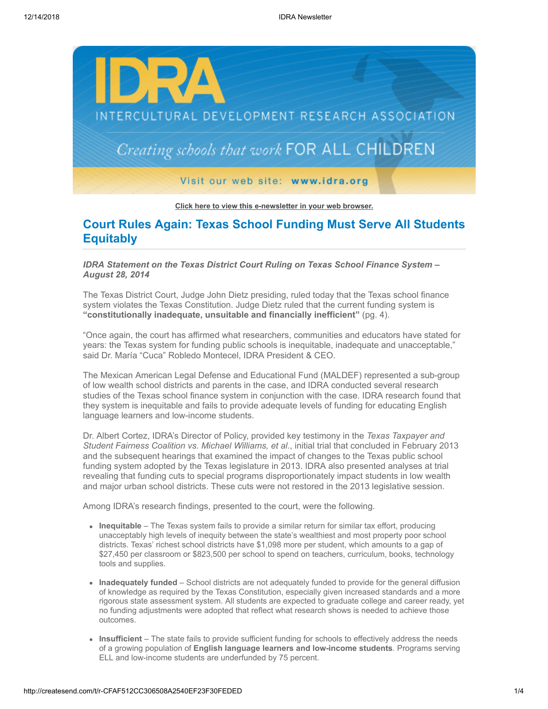

**[Click here to view this e-newsletter in your web browser.](http://newsletter.impulsedevelopment.com/t/r-e-miitrz-l-r/)**

# **Court Rules Again: Texas School Funding Must Serve All Students Equitably**

*IDRA Statement on the Texas District Court Ruling on Texas School Finance System – August 28, 2014*

The Texas District Court, Judge John Dietz presiding, ruled today that the Texas school finance system violates the Texas Constitution. Judge Dietz ruled that the current funding system is **"constitutionally inadequate, unsuitable and financially inefficient"** (pg. 4).

"Once again, the court has affirmed what researchers, communities and educators have stated for years: the Texas system for funding public schools is inequitable, inadequate and unacceptable," said Dr. María "Cuca" Robledo Montecel, IDRA President & CEO.

The Mexican American Legal Defense and Educational Fund (MALDEF) represented a sub-group of low wealth school districts and parents in the case, and IDRA conducted several research studies of the Texas school finance system in conjunction with the case. IDRA research found that they system is inequitable and fails to provide adequate levels of funding for educating English language learners and low-income students.

Dr. Albert Cortez, IDRA's Director of Policy, provided key testimony in the *Texas Taxpayer and Student Fairness Coalition vs. Michael Williams, et al.*, initial trial that concluded in February 2013 and the subsequent hearings that examined the impact of changes to the Texas public school funding system adopted by the Texas legislature in 2013. IDRA also presented analyses at trial revealing that funding cuts to special programs disproportionately impact students in low wealth and major urban school districts. These cuts were not restored in the 2013 legislative session.

Among IDRA's research findings, presented to the court, were the following.

- **Inequitable** The Texas system fails to provide a similar return for similar tax effort, producing unacceptably high levels of inequity between the state's wealthiest and most property poor school districts. Texas' richest school districts have \$1,098 more per student, which amounts to a gap of \$27,450 per classroom or \$823,500 per school to spend on teachers, curriculum, books, technology tools and supplies.
- **Inadequately funded**  School districts are not adequately funded to provide for the general diffusion of knowledge as required by the Texas Constitution, especially given increased standards and a more rigorous state assessment system. All students are expected to graduate college and career ready, yet no funding adjustments were adopted that reflect what research shows is needed to achieve those outcomes.
- **Insufficient**  The state fails to provide sufficient funding for schools to effectively address the needs of a growing population of **English language learners and low-income students**. Programs serving ELL and low-income students are underfunded by 75 percent.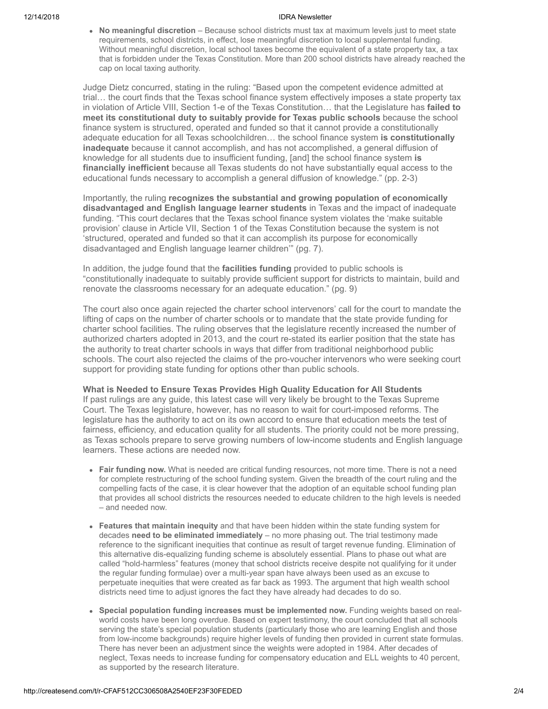#### 12/14/2018 IDRA Newsletter

**No meaningful discretion** – Because school districts must tax at maximum levels just to meet state requirements, school districts, in effect, lose meaningful discretion to local supplemental funding. Without meaningful discretion, local school taxes become the equivalent of a state property tax, a tax that is forbidden under the Texas Constitution. More than 200 school districts have already reached the cap on local taxing authority.

Judge Dietz concurred, stating in the ruling: "Based upon the competent evidence admitted at trial… the court finds that the Texas school finance system effectively imposes a state property tax in violation of Article VIII, Section 1-e of the Texas Constitution… that the Legislature has **failed to meet its constitutional duty to suitably provide for Texas public schools** because the school finance system is structured, operated and funded so that it cannot provide a constitutionally adequate education for all Texas schoolchildren… the school finance system **is constitutionally inadequate** because it cannot accomplish, and has not accomplished, a general diffusion of knowledge for all students due to insufficient funding, [and] the school finance system **is financially inefficient** because all Texas students do not have substantially equal access to the educational funds necessary to accomplish a general diffusion of knowledge." (pp. 2-3)

Importantly, the ruling **recognizes the substantial and growing population of economically disadvantaged and English language learner students** in Texas and the impact of inadequate funding. "This court declares that the Texas school finance system violates the 'make suitable provision' clause in Article VII, Section 1 of the Texas Constitution because the system is not 'structured, operated and funded so that it can accomplish its purpose for economically disadvantaged and English language learner children'" (pg. 7).

In addition, the judge found that the **facilities funding** provided to public schools is "constitutionally inadequate to suitably provide sufficient support for districts to maintain, build and renovate the classrooms necessary for an adequate education." (pg. 9)

The court also once again rejected the charter school intervenors' call for the court to mandate the lifting of caps on the number of charter schools or to mandate that the state provide funding for charter school facilities. The ruling observes that the legislature recently increased the number of authorized charters adopted in 2013, and the court re-stated its earlier position that the state has the authority to treat charter schools in ways that differ from traditional neighborhood public schools. The court also rejected the claims of the pro-voucher intervenors who were seeking court support for providing state funding for options other than public schools.

### **What is Needed to Ensure Texas Provides High Quality Education for All Students**

If past rulings are any guide, this latest case will very likely be brought to the Texas Supreme Court. The Texas legislature, however, has no reason to wait for court-imposed reforms. The legislature has the authority to act on its own accord to ensure that education meets the test of fairness, efficiency, and education quality for all students. The priority could not be more pressing, as Texas schools prepare to serve growing numbers of low-income students and English language learners. These actions are needed now.

- **Fair funding now.** What is needed are critical funding resources, not more time. There is not a need for complete restructuring of the school funding system. Given the breadth of the court ruling and the compelling facts of the case, it is clear however that the adoption of an equitable school funding plan that provides all school districts the resources needed to educate children to the high levels is needed – and needed now.
- **Features that maintain inequity** and that have been hidden within the state funding system for decades **need to be eliminated immediately** – no more phasing out. The trial testimony made reference to the significant inequities that continue as result of target revenue funding. Elimination of this alternative dis-equalizing funding scheme is absolutely essential. Plans to phase out what are called "hold-harmless" features (money that school districts receive despite not qualifying for it under the regular funding formulae) over a multi-year span have always been used as an excuse to perpetuate inequities that were created as far back as 1993. The argument that high wealth school districts need time to adjust ignores the fact they have already had decades to do so.
- **Special population funding increases must be implemented now.** Funding weights based on real- $\bullet$ world costs have been long overdue. Based on expert testimony, the court concluded that all schools serving the state's special population students (particularly those who are learning English and those from low-income backgrounds) require higher levels of funding then provided in current state formulas. There has never been an adjustment since the weights were adopted in 1984. After decades of neglect, Texas needs to increase funding for compensatory education and ELL weights to 40 percent, as supported by the research literature.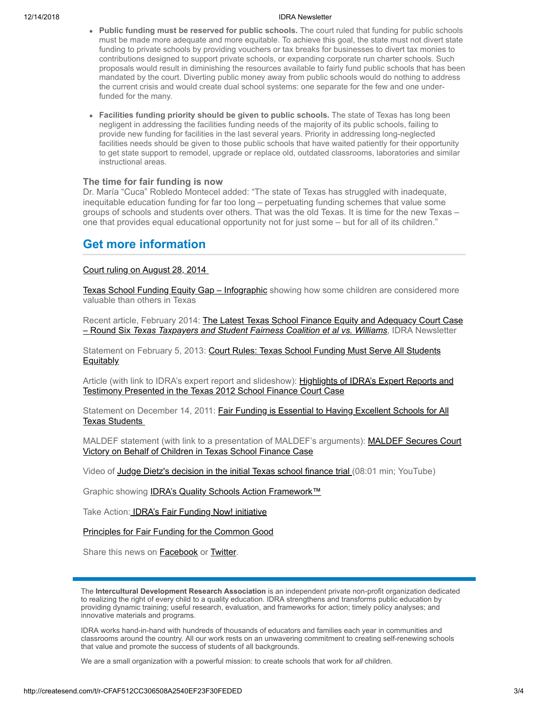#### 12/14/2018 IDRA Newsletter

- **Public funding must be reserved for public schools.** The court ruled that funding for public schools must be made more adequate and more equitable. To achieve this goal, the state must not divert state funding to private schools by providing vouchers or tax breaks for businesses to divert tax monies to contributions designed to support private schools, or expanding corporate run charter schools. Such proposals would result in diminishing the resources available to fairly fund public schools that has been mandated by the court. Diverting public money away from public schools would do nothing to address the current crisis and would create dual school systems: one separate for the few and one underfunded for the many.
- **Facilities funding priority should be given to public schools.** The state of Texas has long been negligent in addressing the facilities funding needs of the majority of its public schools, failing to provide new funding for facilities in the last several years. Priority in addressing long-neglected facilities needs should be given to those public schools that have waited patiently for their opportunity to get state support to remodel, upgrade or replace old, outdated classrooms, laboratories and similar instructional areas.

## **The time for fair funding is now**

Dr. María "Cuca" Robledo Montecel added: "The state of Texas has struggled with inadequate, inequitable education funding for far too long – perpetuating funding schemes that value some groups of schools and students over others. That was the old Texas. It is time for the new Texas – one that provides equal educational opportunity not for just some – but for all of its children."

## **Get more information**

## [Court ruling on August 28, 2014](http://idra.createsend1.com/t/r-l-miitrz-l-i/)

[Texas School Funding Equity Gap – Infographic](http://idra.createsend1.com/t/r-l-miitrz-l-d/) showing how some children are considered more valuable than others in Texas

[Recent article, February 2014: The Latest Texas School Finance Equity and Adequacy Court Case](http://idra.createsend1.com/t/r-l-miitrz-l-o/) – Round Six *Texas Taxpayers and Student Fairness Coalition et al vs. Williams*, IDRA Newsletter

[Statement on February 5, 2013: Court Rules: Texas School Funding Must Serve All Students](http://idra.createsend1.com/t/r-l-miitrz-l-b/) **Equitably** 

[Article \(with link to IDRA's expert report and slideshow\): Highlights of IDRA's Expert Reports and](http://idra.createsend1.com/t/r-l-miitrz-l-n/) Testimony Presented in the Texas 2012 School Finance Court Case

Statement on December 14, 2011: **Fair Funding is Essential to Having Excellent Schools for All** Texas Students

MALDEF statement (with link to a presentation of MALDEF's arguments): **MALDEF Secures Court** Victory on Behalf of Children in Texas School Finance Case

Video of [Judge Dietz's decision in the initial Texas school finance trial \(](http://idra.createsend1.com/t/r-l-miitrz-l-m/)08:01 min; YouTube)

Graphic showing **IDRA's Quality Schools Action Framework[™](http://idra.createsend1.com/t/r-l-miitrz-l-q/)** 

Take Action: **IDRA's Fair Funding Now! initiative** 

[Principles for Fair Funding for the Common Good](http://idra.createsend1.com/t/r-l-miitrz-l-f/)

Share this news on **Facebook** or **Twitter**.

The **Intercultural Development Research Association** is an independent private non-profit organization dedicated to realizing the right of every child to a quality education. IDRA strengthens and transforms public education by providing dynamic training; useful research, evaluation, and frameworks for action; timely policy analyses; and innovative materials and programs.

IDRA works hand-in-hand with hundreds of thousands of educators and families each year in communities and classrooms around the country. All our work rests on an unwavering commitment to creating self-renewing schools that value and promote the success of students of all backgrounds.

We are a small organization with a powerful mission: to create schools that work for *all* children.